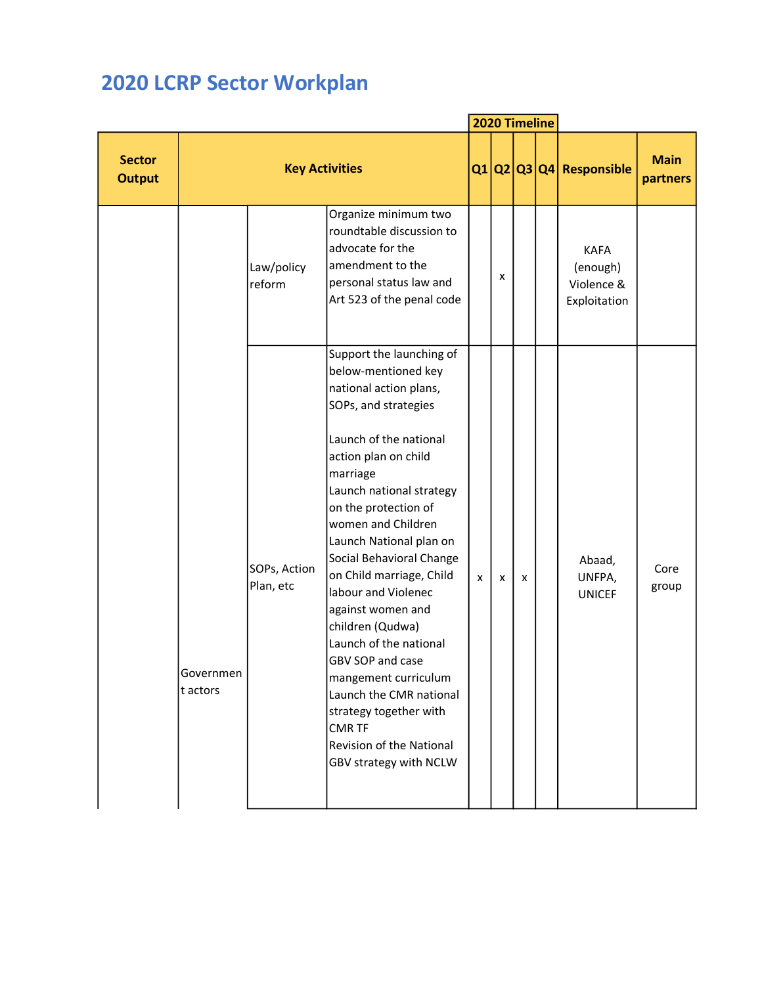## 2020 LCRP Sector Workplan

|                                |                       |                           |                                                                                                                                                                                                                                                                                                                                                                                                                                                                                                                                                                                                |   | 2020 Timeline |   |                                                       |                         |
|--------------------------------|-----------------------|---------------------------|------------------------------------------------------------------------------------------------------------------------------------------------------------------------------------------------------------------------------------------------------------------------------------------------------------------------------------------------------------------------------------------------------------------------------------------------------------------------------------------------------------------------------------------------------------------------------------------------|---|---------------|---|-------------------------------------------------------|-------------------------|
| <b>Sector</b><br><b>Output</b> |                       | <b>Key Activities</b>     |                                                                                                                                                                                                                                                                                                                                                                                                                                                                                                                                                                                                |   |               |   | $Q1 Q2 Q3 Q4 $ Responsible                            | <b>Main</b><br>partners |
|                                |                       | Law/policy<br>reform      | Organize minimum two<br>roundtable discussion to<br>advocate for the<br>amendment to the<br>personal status law and<br>Art 523 of the penal code                                                                                                                                                                                                                                                                                                                                                                                                                                               |   | x             |   | <b>KAFA</b><br>(enough)<br>Violence &<br>Exploitation |                         |
|                                | Governmen<br>t actors | SOPs, Action<br>Plan, etc | Support the launching of<br>below-mentioned key<br>national action plans,<br>SOPs, and strategies<br>Launch of the national<br>action plan on child<br>marriage<br>Launch national strategy<br>on the protection of<br>women and Children<br>Launch National plan on<br>Social Behavioral Change<br>on Child marriage, Child<br>labour and Violenec<br>against women and<br>children (Qudwa)<br>Launch of the national<br>GBV SOP and case<br>mangement curriculum<br>Launch the CMR national<br>strategy together with<br><b>CMR TF</b><br>Revision of the National<br>GBV strategy with NCLW | X | X             | x | Abaad,<br>UNFPA,<br><b>UNICEF</b>                     | Core<br>group           |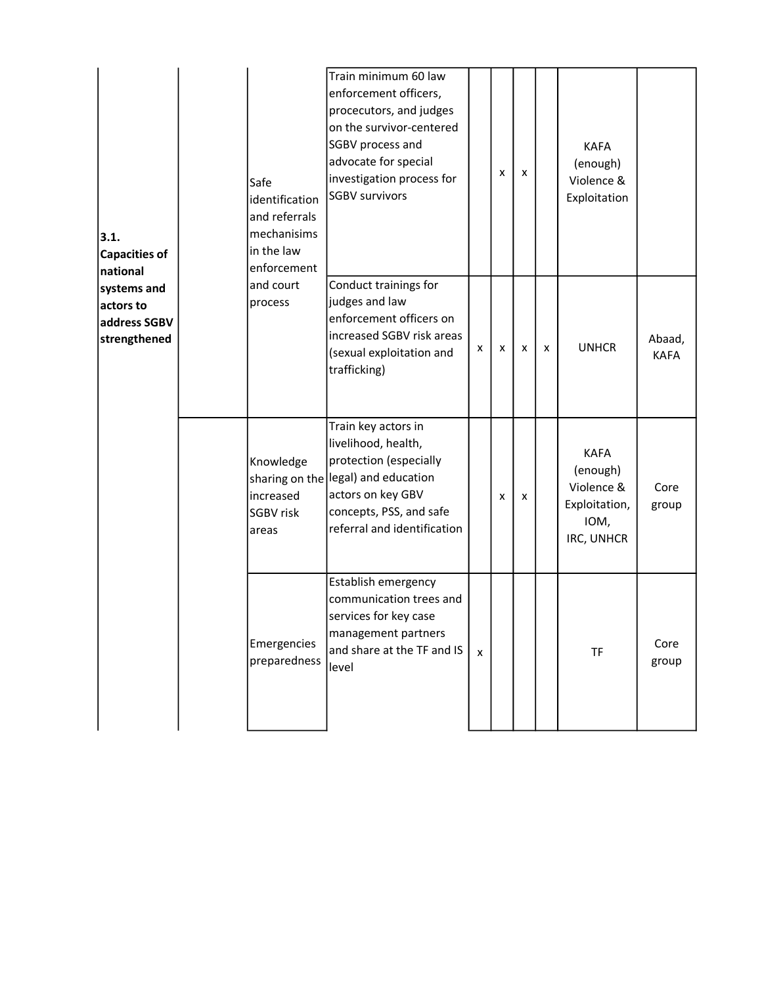| 3.1.<br><b>Capacities of</b><br>national                 | Safe<br>identification<br>and referrals<br>mechanisims<br>in the law<br>enforcement | Train minimum 60 law<br>enforcement officers,<br>procecutors, and judges<br>on the survivor-centered<br>SGBV process and<br>advocate for special<br>investigation process for<br><b>SGBV survivors</b> |   | x | $\pmb{\times}$ |   | <b>KAFA</b><br>(enough)<br>Violence &<br>Exploitation                        |                       |
|----------------------------------------------------------|-------------------------------------------------------------------------------------|--------------------------------------------------------------------------------------------------------------------------------------------------------------------------------------------------------|---|---|----------------|---|------------------------------------------------------------------------------|-----------------------|
| systems and<br>actors to<br>address SGBV<br>strengthened | and court<br>process                                                                | Conduct trainings for<br>judges and law<br>enforcement officers on<br>increased SGBV risk areas<br>(sexual exploitation and<br>trafficking)                                                            | x | x | x              | X | <b>UNHCR</b>                                                                 | Abaad,<br><b>KAFA</b> |
|                                                          | Knowledge<br>increased<br><b>SGBV risk</b><br>areas                                 | Train key actors in<br>livelihood, health,<br>protection (especially<br>sharing on the legal) and education<br>actors on key GBV<br>concepts, PSS, and safe<br>referral and identification             |   | x | x              |   | <b>KAFA</b><br>(enough)<br>Violence &<br>Exploitation,<br>IOM,<br>IRC, UNHCR | Core<br>group         |
|                                                          | Emergencies<br>preparedness                                                         | Establish emergency<br>communication trees and<br>services for key case<br>management partners<br>and share at the TF and IS<br>level                                                                  | X |   |                |   | TF                                                                           | Core<br>group         |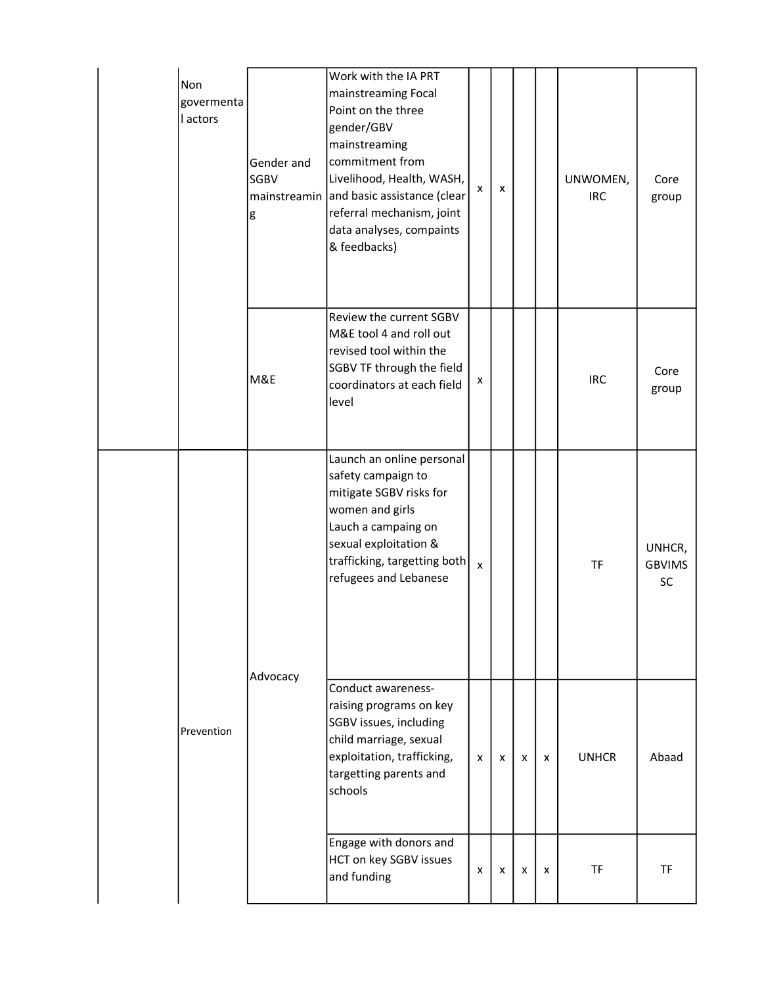| Non<br>govermenta<br>l actors | Gender and<br>SGBV<br>mainstreamin<br>g | Work with the IA PRT<br>mainstreaming Focal<br>Point on the three<br>gender/GBV<br>mainstreaming<br>commitment from<br>Livelihood, Health, WASH,<br>and basic assistance (clear<br>referral mechanism, joint<br>data analyses, compaints<br>& feedbacks) | x | X |   |   | UNWOMEN,<br><b>IRC</b> | Core<br>group                 |
|-------------------------------|-----------------------------------------|----------------------------------------------------------------------------------------------------------------------------------------------------------------------------------------------------------------------------------------------------------|---|---|---|---|------------------------|-------------------------------|
|                               | M&E                                     | Review the current SGBV<br>M&E tool 4 and roll out<br>revised tool within the<br>SGBV TF through the field<br>coordinators at each field<br>level                                                                                                        | x |   |   |   | <b>IRC</b>             | Core<br>group                 |
|                               | Advocacy                                | Launch an online personal<br>safety campaign to<br>mitigate SGBV risks for<br>women and girls<br>Lauch a campaing on<br>sexual exploitation &<br>trafficking, targetting both<br>refugees and Lebanese                                                   | x |   |   |   | <b>TF</b>              | UNHCR,<br><b>GBVIMS</b><br>SC |
| Prevention                    |                                         | Conduct awareness-<br>raising programs on key<br>SGBV issues, including<br>child marriage, sexual<br>exploitation, trafficking,<br>targetting parents and<br>schools                                                                                     | x | X | X | X | <b>UNHCR</b>           | Abaad                         |
|                               |                                         | Engage with donors and<br>HCT on key SGBV issues<br>and funding                                                                                                                                                                                          | x | X | X | X | <b>TF</b>              | <b>TF</b>                     |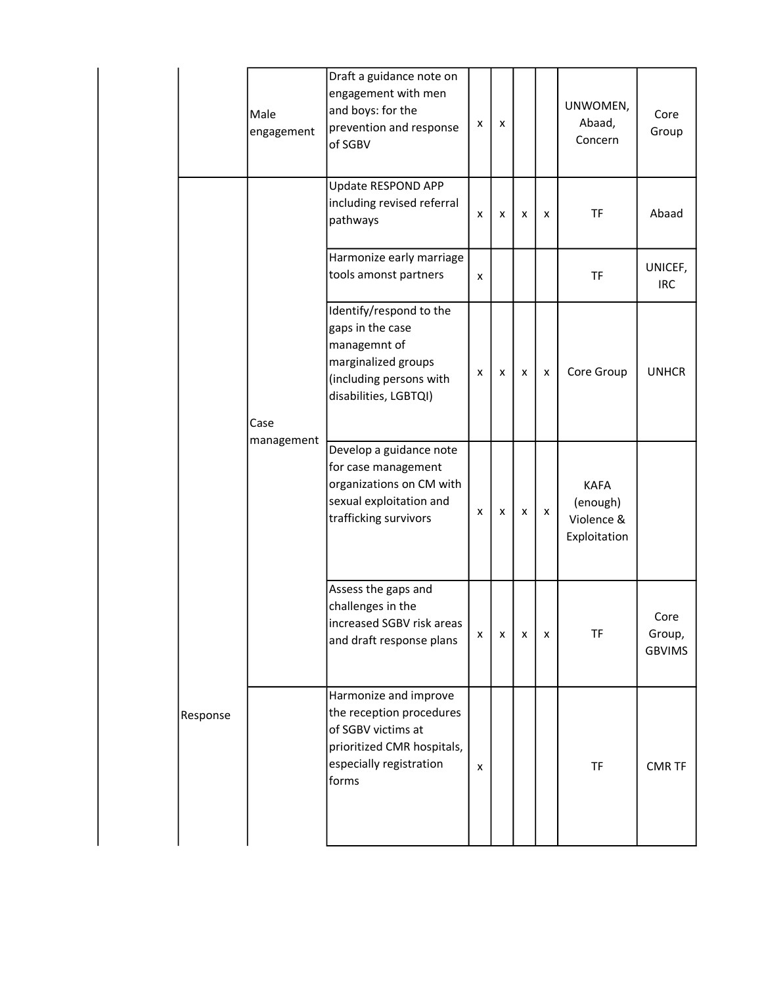|                 | Male<br>engagement | Draft a guidance note on<br>engagement with men<br>and boys: for the<br>prevention and response<br>of SGBV                                | x | X |   |   | UNWOMEN,<br>Abaad,<br>Concern                         | Core<br>Group                   |
|-----------------|--------------------|-------------------------------------------------------------------------------------------------------------------------------------------|---|---|---|---|-------------------------------------------------------|---------------------------------|
|                 |                    | Update RESPOND APP<br>including revised referral<br>pathways                                                                              | X | X | x | X | <b>TF</b>                                             | Abaad                           |
|                 |                    | Harmonize early marriage<br>tools amonst partners                                                                                         | X |   |   |   | <b>TF</b>                                             | UNICEF,<br><b>IRC</b>           |
|                 | Case               | Identify/respond to the<br>gaps in the case<br>managemnt of<br>marginalized groups<br>(including persons with<br>disabilities, LGBTQI)    | x | x | x | x | Core Group                                            | <b>UNHCR</b>                    |
|                 | management         | Develop a guidance note<br>for case management<br>organizations on CM with<br>sexual exploitation and<br>trafficking survivors            | x | x | x | X | <b>KAFA</b><br>(enough)<br>Violence &<br>Exploitation |                                 |
|                 |                    | Assess the gaps and<br>challenges in the<br>increased SGBV risk areas<br>and draft response plans                                         | X | x | x | x | TF                                                    | Core<br>Group,<br><b>GBVIMS</b> |
| <b>Response</b> |                    | Harmonize and improve<br>the reception procedures<br>of SGBV victims at<br>prioritized CMR hospitals,<br>especially registration<br>forms | X |   |   |   | TF                                                    | <b>CMR TF</b>                   |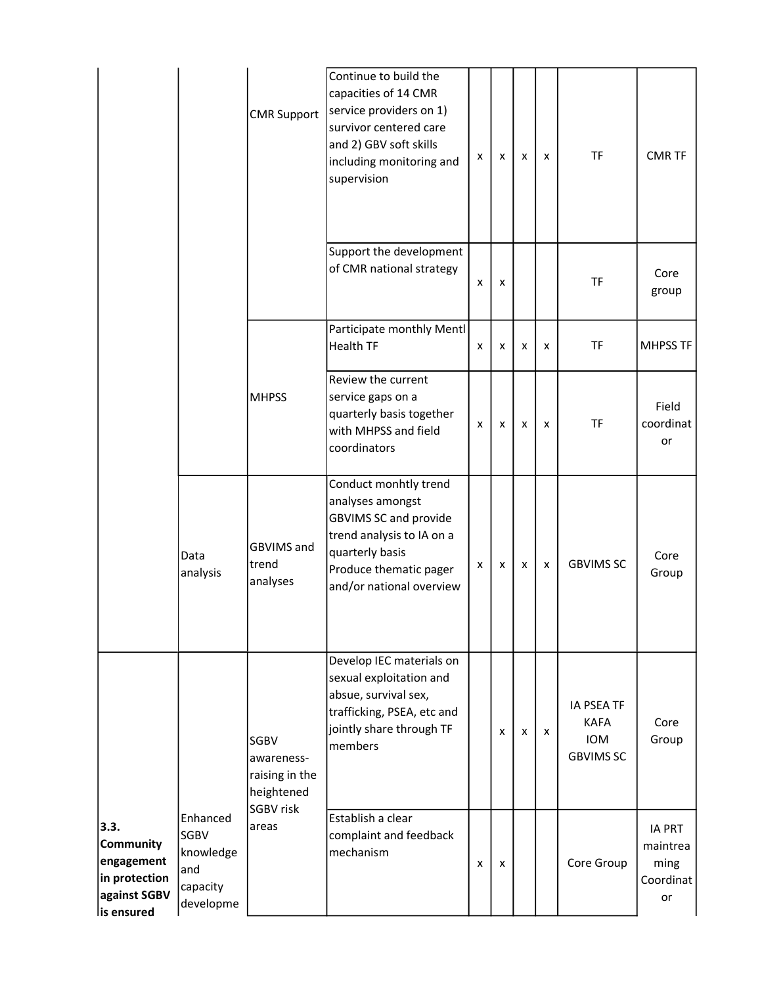|                                                                                |                                                                      | <b>CMR Support</b>                                 | Continue to build the<br>capacities of 14 CMR<br>service providers on 1)<br>survivor centered care<br>and 2) GBV soft skills<br>including monitoring and<br>supervision         | X                         | x | x | x | <b>TF</b>                                                          | <b>CMR TF</b>                                        |
|--------------------------------------------------------------------------------|----------------------------------------------------------------------|----------------------------------------------------|---------------------------------------------------------------------------------------------------------------------------------------------------------------------------------|---------------------------|---|---|---|--------------------------------------------------------------------|------------------------------------------------------|
|                                                                                |                                                                      |                                                    | Support the development<br>of CMR national strategy                                                                                                                             | $\boldsymbol{\mathsf{x}}$ | x |   |   | <b>TF</b>                                                          | Core<br>group                                        |
|                                                                                |                                                                      |                                                    | Participate monthly Mentl<br><b>Health TF</b>                                                                                                                                   | X                         | x | x | x | <b>TF</b>                                                          | <b>MHPSS TF</b>                                      |
|                                                                                |                                                                      | <b>MHPSS</b>                                       | Review the current<br>service gaps on a<br>quarterly basis together<br>with MHPSS and field<br>coordinators                                                                     | X                         | x | x | x | <b>TF</b>                                                          | Field<br>coordinat<br>or                             |
|                                                                                | Data<br>analysis                                                     | <b>GBVIMS</b> and<br>trend<br>analyses             | Conduct monhtly trend<br>analyses amongst<br><b>GBVIMS SC and provide</b><br>trend analysis to IA on a<br>quarterly basis<br>Produce thematic pager<br>and/or national overview | х                         | X | x | X | <b>GBVIMS SC</b>                                                   | Core<br>Group                                        |
|                                                                                |                                                                      | SGBV<br>awareness-<br>raising in the<br>heightened | Develop IEC materials on<br>sexual exploitation and<br>absue, survival sex,<br>trafficking, PSEA, etc and<br>jointly share through TF<br>members                                |                           | x | x | x | <b>IA PSEA TF</b><br><b>KAFA</b><br><b>IOM</b><br><b>GBVIMS SC</b> | Core<br>Group                                        |
| 3.3.<br>Community<br>engagement<br>in protection<br>against SGBV<br>is ensured | Enhanced<br><b>SGBV</b><br>knowledge<br>and<br>capacity<br>developme | <b>SGBV risk</b><br>areas                          | Establish a clear<br>complaint and feedback<br>mechanism                                                                                                                        | X                         | х |   |   | Core Group                                                         | <b>IA PRT</b><br>maintrea<br>ming<br>Coordinat<br>or |